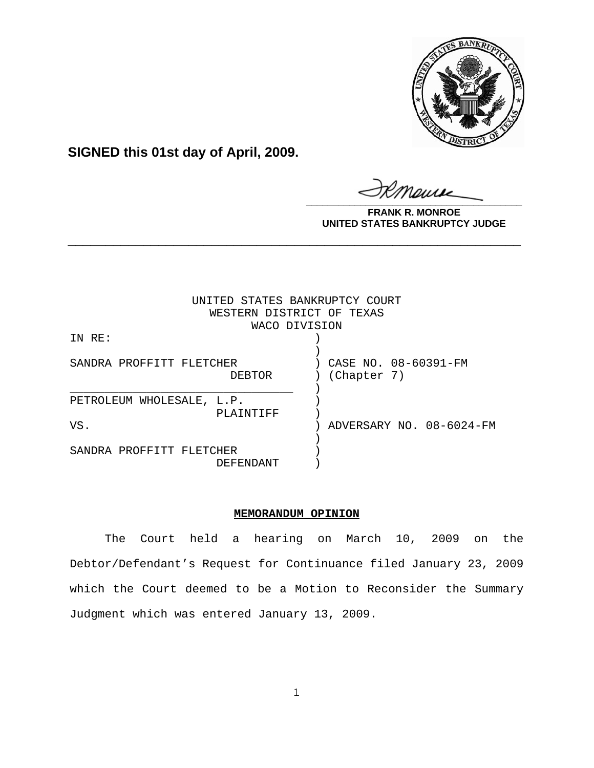

**SIGNED this 01st day of April, 2009.**

**\_\_\_\_\_\_\_\_\_\_\_\_\_\_\_\_\_\_\_\_\_\_\_\_\_\_\_\_\_\_\_\_\_\_\_\_\_\_\_\_**

**FRANK R. MONROE UNITED STATES BANKRUPTCY JUDGE**

| UNITED STATES BANKRUPTCY COURT<br>WESTERN DISTRICT OF TEXAS |                          |
|-------------------------------------------------------------|--------------------------|
| WACO DIVISION                                               |                          |
| IN RE:                                                      |                          |
|                                                             |                          |
| SANDRA PROFFITT FLETCHER                                    | CASE NO. 08-60391-FM     |
| DEBTOR                                                      | (Chapter 7)              |
|                                                             |                          |
| PETROLEUM WHOLESALE, L.P.                                   |                          |
| PLAINTIFF                                                   |                          |
| VS.                                                         | ADVERSARY NO. 08-6024-FM |
|                                                             |                          |
| SANDRA PROFFITT FLETCHER                                    |                          |
| DEFENDANT                                                   |                          |

**\_\_\_\_\_\_\_\_\_\_\_\_\_\_\_\_\_\_\_\_\_\_\_\_\_\_\_\_\_\_\_\_\_\_\_\_\_\_\_\_\_\_\_\_\_\_\_\_\_\_\_\_\_\_\_\_\_\_\_\_**

## **MEMORANDUM OPINION**

The Court held a hearing on March 10, 2009 on the Debtor/Defendant's Request for Continuance filed January 23, 2009 which the Court deemed to be a Motion to Reconsider the Summary Judgment which was entered January 13, 2009.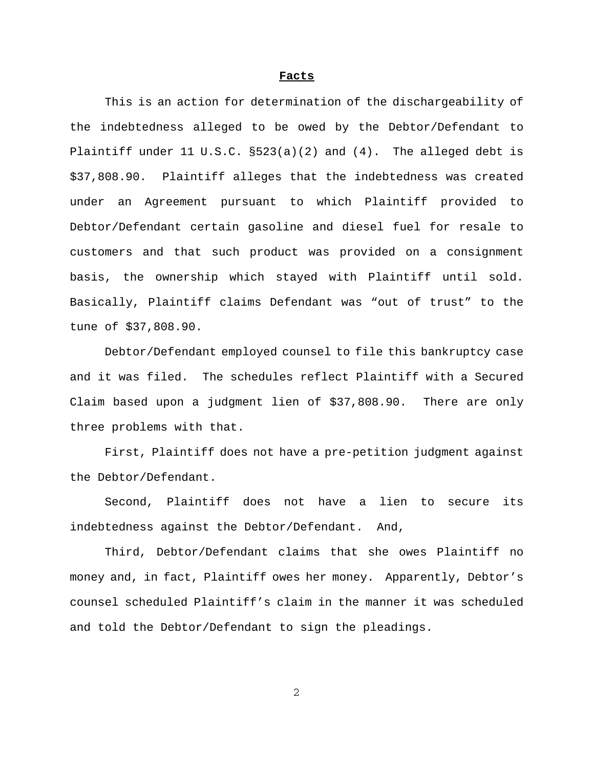## **Facts**

This is an action for determination of the dischargeability of the indebtedness alleged to be owed by the Debtor/Defendant to Plaintiff under 11 U.S.C.  $\S523(a)(2)$  and  $(4)$ . The alleged debt is \$37,808.90. Plaintiff alleges that the indebtedness was created under an Agreement pursuant to which Plaintiff provided to Debtor/Defendant certain gasoline and diesel fuel for resale to customers and that such product was provided on a consignment basis, the ownership which stayed with Plaintiff until sold. Basically, Plaintiff claims Defendant was "out of trust" to the tune of \$37,808.90.

Debtor/Defendant employed counsel to file this bankruptcy case and it was filed. The schedules reflect Plaintiff with a Secured Claim based upon a judgment lien of \$37,808.90. There are only three problems with that.

First, Plaintiff does not have a pre-petition judgment against the Debtor/Defendant.

Second, Plaintiff does not have a lien to secure its indebtedness against the Debtor/Defendant. And,

Third, Debtor/Defendant claims that she owes Plaintiff no money and, in fact, Plaintiff owes her money. Apparently, Debtor's counsel scheduled Plaintiff's claim in the manner it was scheduled and told the Debtor/Defendant to sign the pleadings.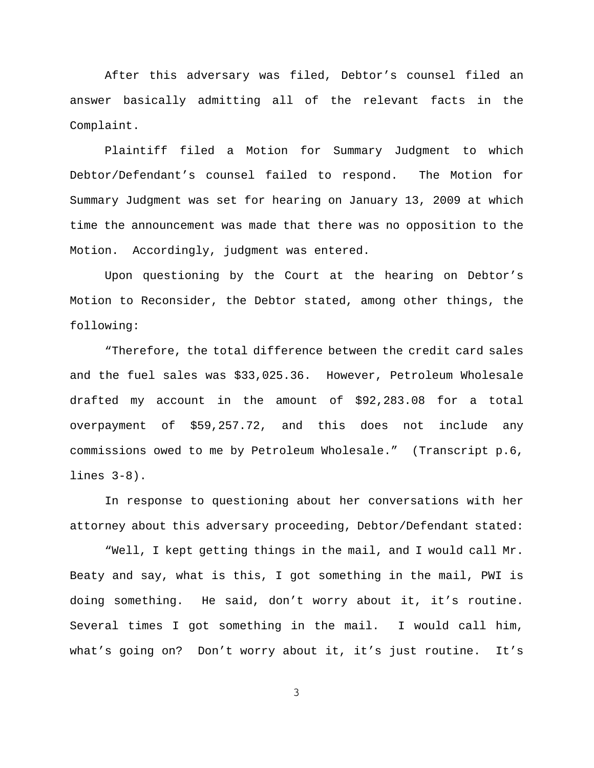After this adversary was filed, Debtor's counsel filed an answer basically admitting all of the relevant facts in the Complaint.

Plaintiff filed a Motion for Summary Judgment to which Debtor/Defendant's counsel failed to respond. The Motion for Summary Judgment was set for hearing on January 13, 2009 at which time the announcement was made that there was no opposition to the Motion. Accordingly, judgment was entered.

Upon questioning by the Court at the hearing on Debtor's Motion to Reconsider, the Debtor stated, among other things, the following:

"Therefore, the total difference between the credit card sales and the fuel sales was \$33,025.36. However, Petroleum Wholesale drafted my account in the amount of \$92,283.08 for a total overpayment of \$59,257.72, and this does not include any commissions owed to me by Petroleum Wholesale." (Transcript p.6, lines 3-8).

In response to questioning about her conversations with her attorney about this adversary proceeding, Debtor/Defendant stated:

"Well, I kept getting things in the mail, and I would call Mr. Beaty and say, what is this, I got something in the mail, PWI is doing something. He said, don't worry about it, it's routine. Several times I got something in the mail. I would call him, what's going on? Don't worry about it, it's just routine. It's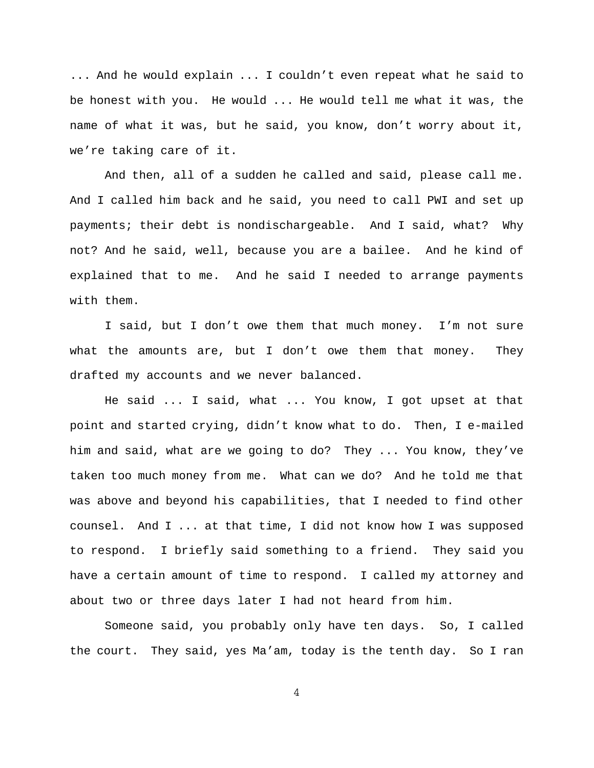... And he would explain ... I couldn't even repeat what he said to be honest with you. He would ... He would tell me what it was, the name of what it was, but he said, you know, don't worry about it, we're taking care of it.

And then, all of a sudden he called and said, please call me. And I called him back and he said, you need to call PWI and set up payments; their debt is nondischargeable. And I said, what? Why not? And he said, well, because you are a bailee. And he kind of explained that to me. And he said I needed to arrange payments with them.

I said, but I don't owe them that much money. I'm not sure what the amounts are, but I don't owe them that money. They drafted my accounts and we never balanced.

He said ... I said, what ... You know, I got upset at that point and started crying, didn't know what to do. Then, I e-mailed him and said, what are we going to do? They ... You know, they've taken too much money from me. What can we do? And he told me that was above and beyond his capabilities, that I needed to find other counsel. And I ... at that time, I did not know how I was supposed to respond. I briefly said something to a friend. They said you have a certain amount of time to respond. I called my attorney and about two or three days later I had not heard from him.

Someone said, you probably only have ten days. So, I called the court. They said, yes Ma'am, today is the tenth day. So I ran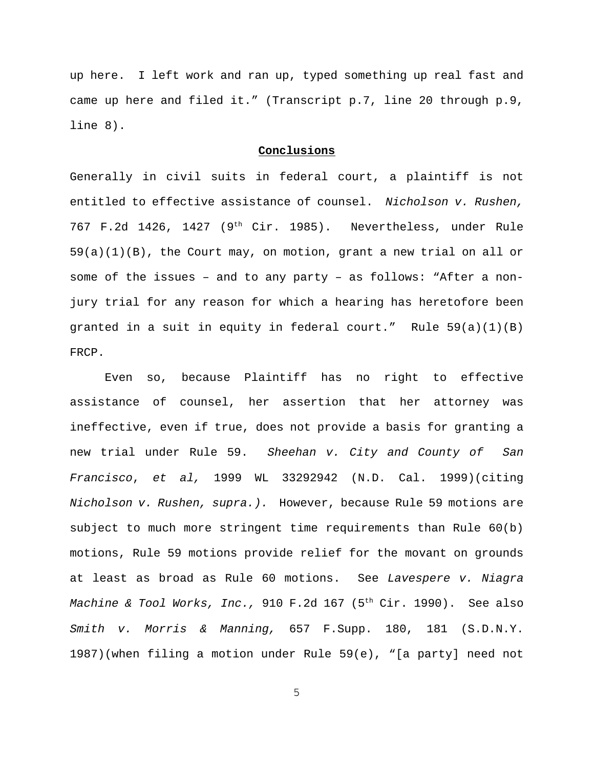up here. I left work and ran up, typed something up real fast and came up here and filed it." (Transcript p.7, line 20 through p.9, line 8).

## **Conclusions**

Generally in civil suits in federal court, a plaintiff is not entitled to effective assistance of counsel. *Nicholson v. Rushen,* 767 F.2d 1426, 1427 (9<sup>th</sup> Cir. 1985). Nevertheless, under Rule  $59(a)(1)(B)$ , the Court may, on motion, grant a new trial on all or some of the issues – and to any party – as follows: "After a nonjury trial for any reason for which a hearing has heretofore been granted in a suit in equity in federal court." Rule  $59(a)(1)(B)$ FRCP.

Even so, because Plaintiff has no right to effective assistance of counsel, her assertion that her attorney was ineffective, even if true, does not provide a basis for granting a new trial under Rule 59. *Sheehan v. City and County of San Francisco*, *et al,* 1999 WL 33292942 (N.D. Cal. 1999)(citing *Nicholson v. Rushen, supra.).* However, because Rule 59 motions are subject to much more stringent time requirements than Rule 60(b) motions, Rule 59 motions provide relief for the movant on grounds at least as broad as Rule 60 motions. See *Lavespere v. Niagra Machine & Tool Works, Inc.,* 910 F.2d 167 (5<sup>th</sup> Cir. 1990). See also *Smith v. Morris & Manning,* 657 F.Supp. 180, 181 (S.D.N.Y. 1987)(when filing a motion under Rule 59(e), "[a party] need not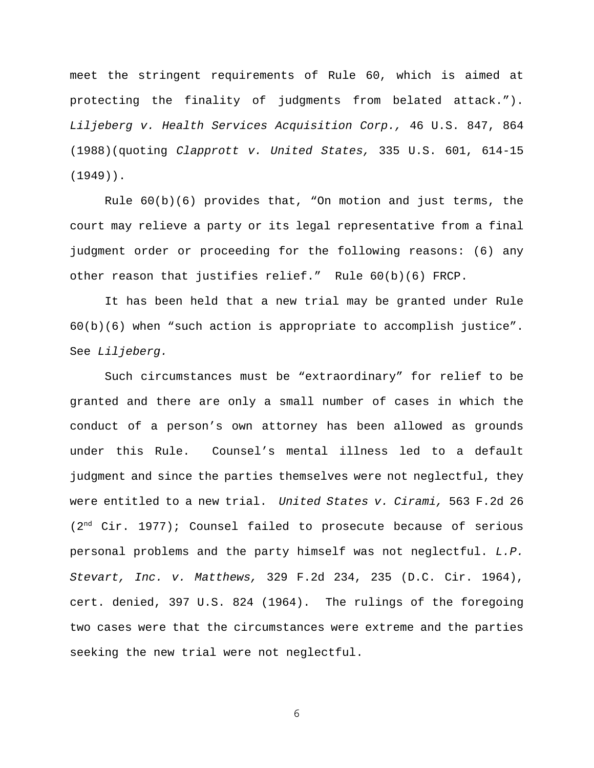meet the stringent requirements of Rule 60, which is aimed at protecting the finality of judgments from belated attack."). *Liljeberg v. Health Services Acquisition Corp.,* 46 U.S. 847, 864 (1988)(quoting *Clapprott v. United States,* 335 U.S. 601, 614-15 (1949)).

Rule  $60(b)(6)$  provides that, "On motion and just terms, the court may relieve a party or its legal representative from a final judgment order or proceeding for the following reasons: (6) any other reason that justifies relief." Rule 60(b)(6) FRCP.

It has been held that a new trial may be granted under Rule 60(b)(6) when "such action is appropriate to accomplish justice". See *Liljeberg.*

 Such circumstances must be "extraordinary" for relief to be granted and there are only a small number of cases in which the conduct of a person's own attorney has been allowed as grounds under this Rule. Counsel's mental illness led to a default judgment and since the parties themselves were not neglectful, they were entitled to a new trial. *United States v. Cirami,* 563 F.2d 26  $(2<sup>nd</sup> Cir. 1977)$ ; Counsel failed to prosecute because of serious personal problems and the party himself was not neglectful. *L.P. Stevart, Inc. v. Matthews,* 329 F.2d 234, 235 (D.C. Cir. 1964), cert. denied, 397 U.S. 824 (1964). The rulings of the foregoing two cases were that the circumstances were extreme and the parties seeking the new trial were not neglectful.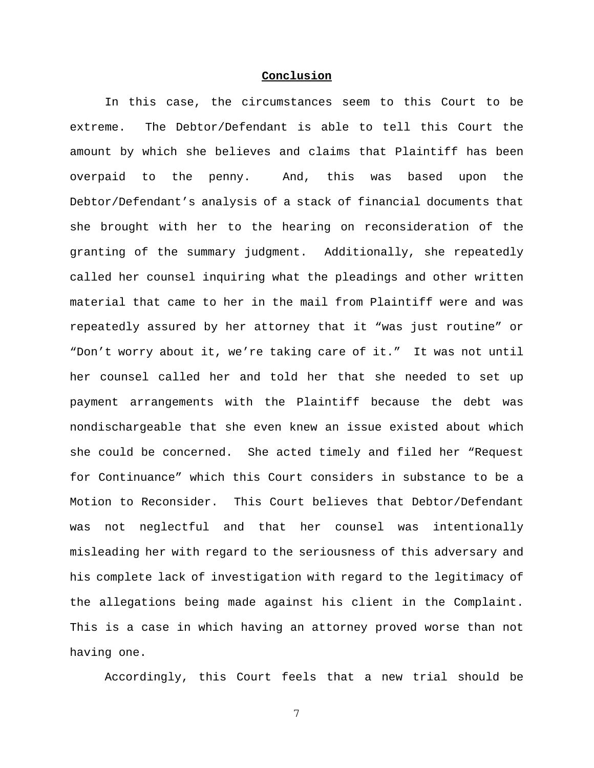## **Conclusion**

In this case, the circumstances seem to this Court to be extreme. The Debtor/Defendant is able to tell this Court the amount by which she believes and claims that Plaintiff has been overpaid to the penny. And, this was based upon the Debtor/Defendant's analysis of a stack of financial documents that she brought with her to the hearing on reconsideration of the granting of the summary judgment. Additionally, she repeatedly called her counsel inquiring what the pleadings and other written material that came to her in the mail from Plaintiff were and was repeatedly assured by her attorney that it "was just routine" or "Don't worry about it, we're taking care of it." It was not until her counsel called her and told her that she needed to set up payment arrangements with the Plaintiff because the debt was nondischargeable that she even knew an issue existed about which she could be concerned. She acted timely and filed her "Request for Continuance" which this Court considers in substance to be a Motion to Reconsider. This Court believes that Debtor/Defendant was not neglectful and that her counsel was intentionally misleading her with regard to the seriousness of this adversary and his complete lack of investigation with regard to the legitimacy of the allegations being made against his client in the Complaint. This is a case in which having an attorney proved worse than not having one.

Accordingly, this Court feels that a new trial should be